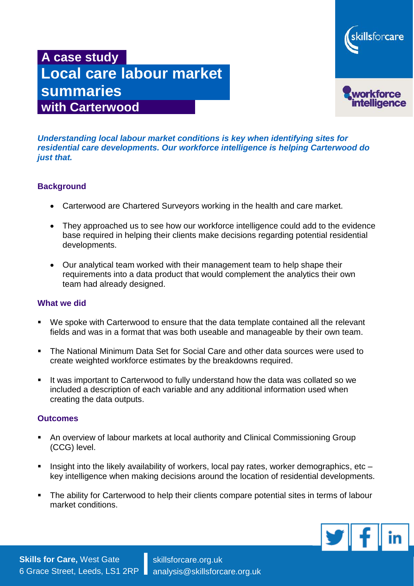

# **A case study Local care labour market summaries with Carterwood**

*Understanding local labour market conditions is key when identifying sites for residential care developments. Our workforce intelligence is helping Carterwood do just that.*

# **Background**

- Carterwood are Chartered Surveyors working in the health and care market.
- They approached us to see how our workforce intelligence could add to the evidence base required in helping their clients make decisions regarding potential residential developments.
- Our analytical team worked with their management team to help shape their requirements into a data product that would complement the analytics their own team had already designed.

### **What we did**

- We spoke with Carterwood to ensure that the data template contained all the relevant fields and was in a format that was both useable and manageable by their own team.
- The National Minimum Data Set for Social Care and other data sources were used to create weighted workforce estimates by the breakdowns required.
- It was important to Carterwood to fully understand how the data was collated so we included a description of each variable and any additional information used when creating the data outputs.

#### **Outcomes**

- An overview of labour markets at local authority and Clinical Commissioning Group (CCG) level.
- Insight into the likely availability of workers, local pay rates, worker demographics, etc  $$ key intelligence when making decisions around the location of residential developments.
- The ability for Carterwood to help their clients compare potential sites in terms of labour market conditions.